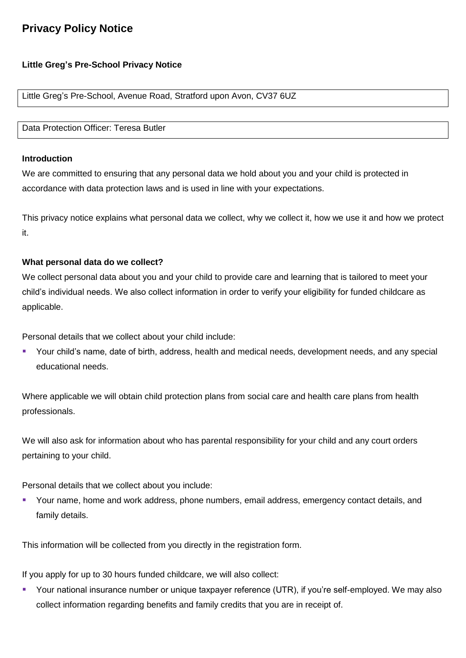# **Privacy Policy Notice**

# **Little Greg's Pre-School Privacy Notice**

Little Greg's Pre-School, Avenue Road, Stratford upon Avon, CV37 6UZ

Data Protection Officer: Teresa Butler

#### **Introduction**

We are committed to ensuring that any personal data we hold about you and your child is protected in accordance with data protection laws and is used in line with your expectations.

This privacy notice explains what personal data we collect, why we collect it, how we use it and how we protect it.

## **What personal data do we collect?**

We collect personal data about you and your child to provide care and learning that is tailored to meet your child's individual needs. We also collect information in order to verify your eligibility for funded childcare as applicable.

Personal details that we collect about your child include:

 Your child's name, date of birth, address, health and medical needs, development needs, and any special educational needs.

Where applicable we will obtain child protection plans from social care and health care plans from health professionals.

We will also ask for information about who has parental responsibility for your child and any court orders pertaining to your child.

Personal details that we collect about you include:

 Your name, home and work address, phone numbers, email address, emergency contact details, and family details.

This information will be collected from you directly in the registration form.

If you apply for up to 30 hours funded childcare, we will also collect:

 Your national insurance number or unique taxpayer reference (UTR), if you're self-employed. We may also collect information regarding benefits and family credits that you are in receipt of.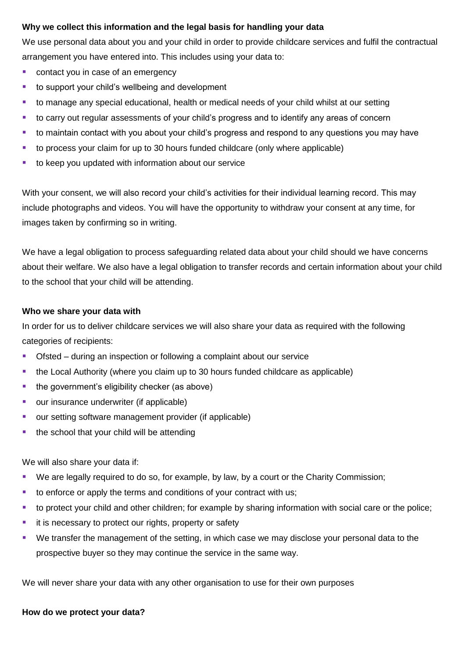# **Why we collect this information and the legal basis for handling your data**

We use personal data about you and your child in order to provide childcare services and fulfil the contractual arrangement you have entered into. This includes using your data to:

- contact you in case of an emergency
- to support your child's wellbeing and development
- to manage any special educational, health or medical needs of your child whilst at our setting
- to carry out regular assessments of your child's progress and to identify any areas of concern
- to maintain contact with you about your child's progress and respond to any questions you may have
- to process your claim for up to 30 hours funded childcare (only where applicable)
- to keep you updated with information about our service

With your consent, we will also record your child's activities for their individual learning record. This may include photographs and videos. You will have the opportunity to withdraw your consent at any time, for images taken by confirming so in writing.

We have a legal obligation to process safeguarding related data about your child should we have concerns about their welfare. We also have a legal obligation to transfer records and certain information about your child to the school that your child will be attending.

#### **Who we share your data with**

In order for us to deliver childcare services we will also share your data as required with the following categories of recipients:

- Ofsted during an inspection or following a complaint about our service
- the Local Authority (where you claim up to 30 hours funded childcare as applicable)
- the government's eligibility checker (as above)
- our insurance underwriter (if applicable)
- **our setting software management provider (if applicable)**
- the school that your child will be attending

We will also share your data if:

- We are legally required to do so, for example, by law, by a court or the Charity Commission;
- to enforce or apply the terms and conditions of your contract with us;
- to protect your child and other children; for example by sharing information with social care or the police;
- **i** it is necessary to protect our rights, property or safety
- We transfer the management of the setting, in which case we may disclose your personal data to the prospective buyer so they may continue the service in the same way.

We will never share your data with any other organisation to use for their own purposes

## **How do we protect your data?**